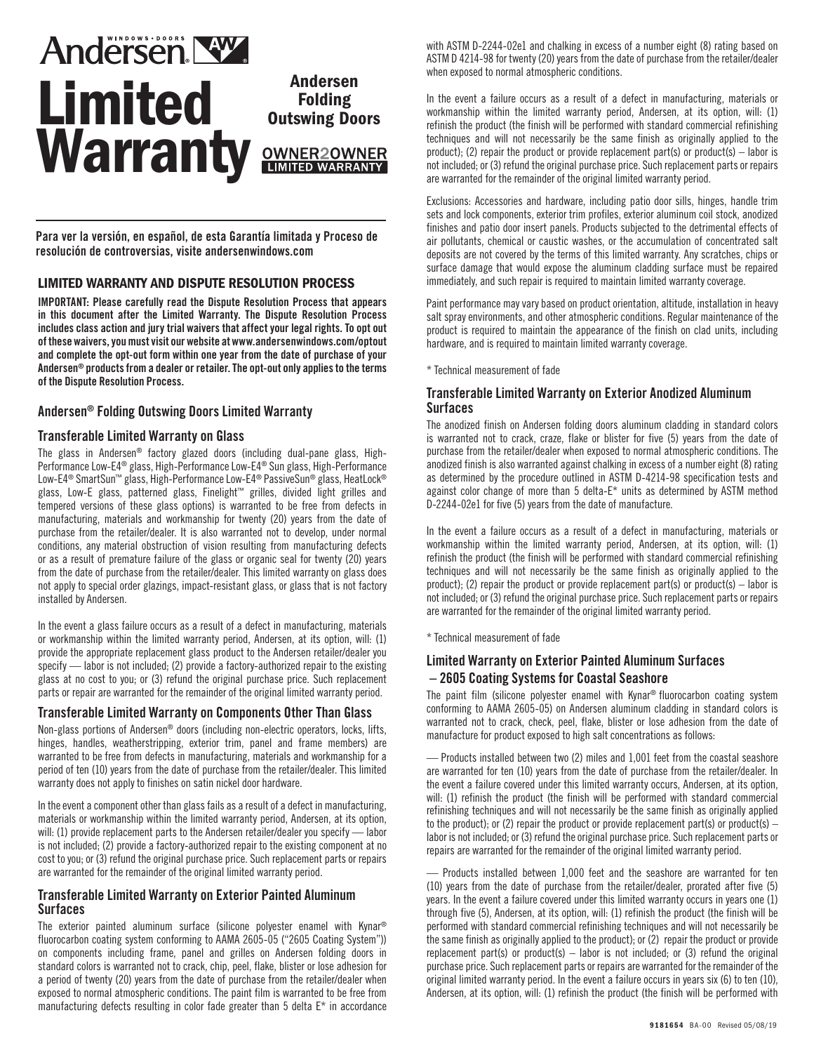# **Andersen NW. Andersen<br>Folding** Limited **Ending Warranty LIMITED WARRANTY**

**OWNER2OWNER** 

Para ver la versión, en español, de esta Garantía limitada y Proceso de resolución de controversias, visite andersenwindows.com

# LIMITED WARRANTY AND DISPUTE RESOLUTION PROCESS

IMPORTANT: Please carefully read the Dispute Resolution Process that appears in this document after the Limited Warranty. The Dispute Resolution Process includes class action and jury trial waivers that affect your legal rights. To opt out of these waivers, you must visit our website at www.andersenwindows.com/optout and complete the opt-out form within one year from the date of purchase of your Andersen® products from a dealer or retailer. The opt-out only applies to the terms of the Dispute Resolution Process.

# Andersen® Folding Outswing Doors Limited Warranty

## Transferable Limited Warranty on Glass

The glass in Andersen® factory glazed doors (including dual-pane glass, High-Performance Low-E4® glass, High-Performance Low-E4® Sun glass, High-Performance Low-E4® SmartSun™ glass, High-Performance Low-E4® PassiveSun® glass, HeatLock® glass, Low-E glass, patterned glass, Finelight™ grilles, divided light grilles and tempered versions of these glass options) is warranted to be free from defects in manufacturing, materials and workmanship for twenty (20) years from the date of purchase from the retailer/dealer. It is also warranted not to develop, under normal conditions, any material obstruction of vision resulting from manufacturing defects or as a result of premature failure of the glass or organic seal for twenty (20) years from the date of purchase from the retailer/dealer. This limited warranty on glass does not apply to special order glazings, impact-resistant glass, or glass that is not factory installed by Andersen.

In the event a glass failure occurs as a result of a defect in manufacturing, materials or workmanship within the limited warranty period, Andersen, at its option, will: (1) provide the appropriate replacement glass product to the Andersen retailer/dealer you specify — labor is not included; (2) provide a factory-authorized repair to the existing glass at no cost to you; or (3) refund the original purchase price. Such replacement parts or repair are warranted for the remainder of the original limited warranty period.

# Transferable Limited Warranty on Components Other Than Glass

Non-glass portions of Andersen® doors (including non-electric operators, locks, lifts, hinges, handles, weatherstripping, exterior trim, panel and frame members) are warranted to be free from defects in manufacturing, materials and workmanship for a period of ten (10) years from the date of purchase from the retailer/dealer. This limited warranty does not apply to finishes on satin nickel door hardware.

In the event a component other than glass fails as a result of a defect in manufacturing, materials or workmanship within the limited warranty period, Andersen, at its option, will: (1) provide replacement parts to the Andersen retailer/dealer you specify — labor is not included; (2) provide a factory-authorized repair to the existing component at no cost to you; or (3) refund the original purchase price. Such replacement parts or repairs are warranted for the remainder of the original limited warranty period.

#### Transferable Limited Warranty on Exterior Painted Aluminum **Surfaces**

The exterior painted aluminum surface (silicone polyester enamel with Kynar® fluorocarbon coating system conforming to AAMA 2605-05 ("2605 Coating System")) on components including frame, panel and grilles on Andersen folding doors in standard colors is warranted not to crack, chip, peel, flake, blister or lose adhesion for a period of twenty (20) years from the date of purchase from the retailer/dealer when exposed to normal atmospheric conditions. The paint film is warranted to be free from manufacturing defects resulting in color fade greater than 5 delta E\* in accordance with ASTM D-2244-02e1 and chalking in excess of a number eight (8) rating based on ASTM D 4214-98 for twenty (20) years from the date of purchase from the retailer/dealer when exposed to normal atmospheric conditions.

In the event a failure occurs as a result of a defect in manufacturing, materials or workmanship within the limited warranty period, Andersen, at its option, will: (1) refinish the product (the finish will be performed with standard commercial refinishing techniques and will not necessarily be the same finish as originally applied to the product); (2) repair the product or provide replacement part(s) or product(s) – labor is not included; or (3) refund the original purchase price. Such replacement parts or repairs are warranted for the remainder of the original limited warranty period.

Exclusions: Accessories and hardware, including patio door sills, hinges, handle trim sets and lock components, exterior trim profiles, exterior aluminum coil stock, anodized finishes and patio door insert panels. Products subjected to the detrimental effects of air pollutants, chemical or caustic washes, or the accumulation of concentrated salt deposits are not covered by the terms of this limited warranty. Any scratches, chips or surface damage that would expose the aluminum cladding surface must be repaired immediately, and such repair is required to maintain limited warranty coverage.

Paint performance may vary based on product orientation, altitude, installation in heavy salt spray environments, and other atmospheric conditions. Regular maintenance of the product is required to maintain the appearance of the finish on clad units, including hardware, and is required to maintain limited warranty coverage.

\* Technical measurement of fade

## Transferable Limited Warranty on Exterior Anodized Aluminum **Surfaces**

The anodized finish on Andersen folding doors aluminum cladding in standard colors is warranted not to crack, craze, flake or blister for five (5) years from the date of purchase from the retailer/dealer when exposed to normal atmospheric conditions. The anodized finish is also warranted against chalking in excess of a number eight (8) rating as determined by the procedure outlined in ASTM D-4214-98 specification tests and against color change of more than 5 delta-E\* units as determined by ASTM method D-2244-02e1 for five (5) years from the date of manufacture.

In the event a failure occurs as a result of a defect in manufacturing, materials or workmanship within the limited warranty period, Andersen, at its option, will: (1) refinish the product (the finish will be performed with standard commercial refinishing techniques and will not necessarily be the same finish as originally applied to the product); (2) repair the product or provide replacement part(s) or product(s) – labor is not included; or (3) refund the original purchase price. Such replacement parts or repairs are warranted for the remainder of the original limited warranty period.

\* Technical measurement of fade

# Limited Warranty on Exterior Painted Aluminum Surfaces – 2605 Coating Systems for Coastal Seashore

The paint film (silicone polyester enamel with Kynar® fluorocarbon coating system conforming to AAMA 2605-05) on Andersen aluminum cladding in standard colors is warranted not to crack, check, peel, flake, blister or lose adhesion from the date of manufacture for product exposed to high salt concentrations as follows:

— Products installed between two (2) miles and 1,001 feet from the coastal seashore are warranted for ten (10) years from the date of purchase from the retailer/dealer. In the event a failure covered under this limited warranty occurs, Andersen, at its option, will: (1) refinish the product (the finish will be performed with standard commercial refinishing techniques and will not necessarily be the same finish as originally applied to the product); or (2) repair the product or provide replacement part(s) or product(s)  $$ labor is not included; or (3) refund the original purchase price. Such replacement parts or repairs are warranted for the remainder of the original limited warranty period.

— Products installed between 1,000 feet and the seashore are warranted for ten (10) years from the date of purchase from the retailer/dealer, prorated after five (5) years. In the event a failure covered under this limited warranty occurs in years one (1) through five (5), Andersen, at its option, will: (1) refinish the product (the finish will be performed with standard commercial refinishing techniques and will not necessarily be the same finish as originally applied to the product); or (2) repair the product or provide replacement part(s) or product(s) – labor is not included; or (3) refund the original purchase price. Such replacement parts or repairs are warranted for the remainder of the original limited warranty period. In the event a failure occurs in years six (6) to ten (10), Andersen, at its option, will: (1) refinish the product (the finish will be performed with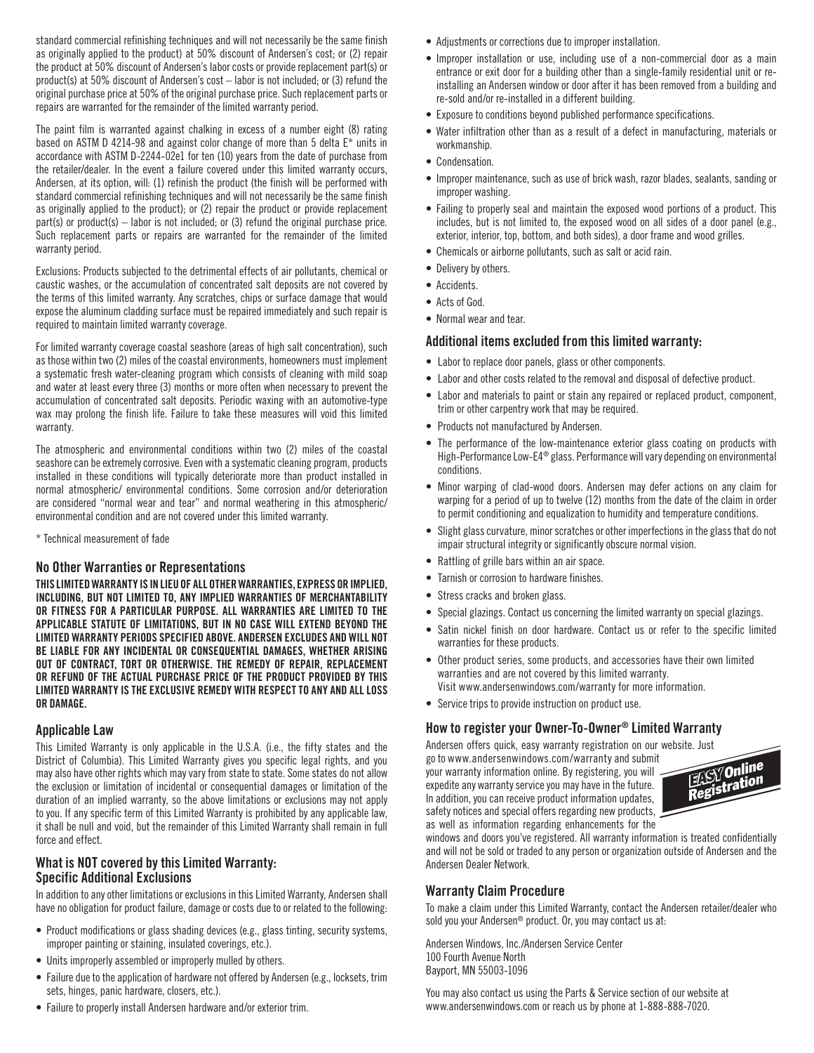standard commercial refinishing techniques and will not necessarily be the same finish as originally applied to the product) at 50% discount of Andersen's cost; or (2) repair the product at 50% discount of Andersen's labor costs or provide replacement part(s) or product(s) at 50% discount of Andersen's cost – labor is not included; or (3) refund the original purchase price at 50% of the original purchase price. Such replacement parts or repairs are warranted for the remainder of the limited warranty period.

The paint film is warranted against chalking in excess of a number eight (8) rating based on ASTM D 4214-98 and against color change of more than 5 delta E\* units in accordance with ASTM D-2244-02e1 for ten (10) years from the date of purchase from the retailer/dealer. In the event a failure covered under this limited warranty occurs, Andersen, at its option, will: (1) refinish the product (the finish will be performed with standard commercial refinishing techniques and will not necessarily be the same finish as originally applied to the product); or (2) repair the product or provide replacement part(s) or product(s) – labor is not included; or (3) refund the original purchase price. Such replacement parts or repairs are warranted for the remainder of the limited warranty period.

Exclusions: Products subjected to the detrimental effects of air pollutants, chemical or caustic washes, or the accumulation of concentrated salt deposits are not covered by the terms of this limited warranty. Any scratches, chips or surface damage that would expose the aluminum cladding surface must be repaired immediately and such repair is required to maintain limited warranty coverage.

For limited warranty coverage coastal seashore (areas of high salt concentration), such as those within two (2) miles of the coastal environments, homeowners must implement a systematic fresh water-cleaning program which consists of cleaning with mild soap and water at least every three (3) months or more often when necessary to prevent the accumulation of concentrated salt deposits. Periodic waxing with an automotive-type wax may prolong the finish life. Failure to take these measures will void this limited warranty.

The atmospheric and environmental conditions within two (2) miles of the coastal seashore can be extremely corrosive. Even with a systematic cleaning program, products installed in these conditions will typically deteriorate more than product installed in normal atmospheric/ environmental conditions. Some corrosion and/or deterioration are considered "normal wear and tear" and normal weathering in this atmospheric/ environmental condition and are not covered under this limited warranty.

\* Technical measurement of fade

#### No Other Warranties or Representations

THIS LIMITED WARRANTY IS IN LIEU OF ALL OTHER WARRANTIES, EXPRESS OR IMPLIED, INCLUDING, BUT NOT LIMITED TO, ANY IMPLIED WARRANTIES OF MERCHANTABILITY OR FITNESS FOR A PARTICULAR PURPOSE. ALL WARRANTIES ARE LIMITED TO THE APPLICABLE STATUTE OF LIMITATIONS, BUT IN NO CASE WILL EXTEND BEYOND THE LIMITED WARRANTY PERIODS SPECIFIED ABOVE. ANDERSEN EXCLUDES AND WILL NOT BE LIABLE FOR ANY INCIDENTAL OR CONSEQUENTIAL DAMAGES, WHETHER ARISING OUT OF CONTRACT, TORT OR OTHERWISE. THE REMEDY OF REPAIR, REPLACEMENT OR REFUND OF THE ACTUAL PURCHASE PRICE OF THE PRODUCT PROVIDED BY THIS LIMITED WARRANTY IS THE EXCLUSIVE REMEDY WITH RESPECT TO ANY AND ALL LOSS OR DAMAGE.

#### Applicable Law

This Limited Warranty is only applicable in the U.S.A. (i.e., the fifty states and the District of Columbia). This Limited Warranty gives you specific legal rights, and you may also have other rights which may vary from state to state. Some states do not allow the exclusion or limitation of incidental or consequential damages or limitation of the duration of an implied warranty, so the above limitations or exclusions may not apply to you. If any specific term of this Limited Warranty is prohibited by any applicable law, it shall be null and void, but the remainder of this Limited Warranty shall remain in full force and effect.

## What is NOT covered by this Limited Warranty: Specific Additional Exclusions

In addition to any other limitations or exclusions in this Limited Warranty, Andersen shall have no obligation for product failure, damage or costs due to or related to the following:

- Product modifications or glass shading devices (e.g., glass tinting, security systems, improper painting or staining, insulated coverings, etc.).
- Units improperly assembled or improperly mulled by others.
- Failure due to the application of hardware not offered by Andersen (e.g., locksets, trim sets, hinges, panic hardware, closers, etc.).
- Failure to properly install Andersen hardware and/or exterior trim.
- Adjustments or corrections due to improper installation.
- Improper installation or use, including use of a non-commercial door as a main entrance or exit door for a building other than a single-family residential unit or reinstalling an Andersen window or door after it has been removed from a building and re-sold and/or re-installed in a different building.
- Exposure to conditions beyond published performance specifications.
- Water infiltration other than as a result of a defect in manufacturing, materials or workmanship.
- Condensation.
- Improper maintenance, such as use of brick wash, razor blades, sealants, sanding or improper washing.
- Failing to properly seal and maintain the exposed wood portions of a product. This includes, but is not limited to, the exposed wood on all sides of a door panel (e.g., exterior, interior, top, bottom, and both sides), a door frame and wood grilles.
- Chemicals or airborne pollutants, such as salt or acid rain.
- Delivery by others.
- Accidents.
- Acts of God.
- Normal wear and tear.

#### Additional items excluded from this limited warranty:

- Labor to replace door panels, glass or other components.
- Labor and other costs related to the removal and disposal of defective product.
- Labor and materials to paint or stain any repaired or replaced product, component, trim or other carpentry work that may be required.
- Products not manufactured by Andersen.
- The performance of the low-maintenance exterior glass coating on products with High-Performance Low-E4® glass. Performance will vary depending on environmental conditions.
- Minor warping of clad-wood doors. Andersen may defer actions on any claim for warping for a period of up to twelve (12) months from the date of the claim in order to permit conditioning and equalization to humidity and temperature conditions.
- Slight glass curvature, minor scratches or other imperfections in the glass that do not impair structural integrity or significantly obscure normal vision.
- Rattling of grille bars within an air space.
- Tarnish or corrosion to hardware finishes.
- Stress cracks and broken glass.
- Special glazings. Contact us concerning the limited warranty on special glazings.
- Satin nickel finish on door hardware. Contact us or refer to the specific limited warranties for these products.
- Other product series, some products, and accessories have their own limited warranties and are not covered by this limited warranty. Visit www.andersenwindows.com/warranty for more information.
- Service trips to provide instruction on product use.

#### How to register your Owner-To-Owner® Limited Warranty

Andersen offers quick, easy warranty registration on our website. Just go to www.andersenwindows.com/warranty and submit your warranty information online. By registering, you will

expedite any warranty service you may have in the future. In addition, you can receive product information updates, safety notices and special offers regarding new products, as well as information regarding enhancements for the



windows and doors you've registered. All warranty information is treated confidentially and will not be sold or traded to any person or organization outside of Andersen and the Andersen Dealer Network.

#### Warranty Claim Procedure

To make a claim under this Limited Warranty, contact the Andersen retailer/dealer who sold you your Andersen® product. Or, you may contact us at:

Andersen Windows, Inc./Andersen Service Center 100 Fourth Avenue North Bayport, MN 55003-1096

You may also contact us using the Parts & Service section of our website at www.andersenwindows.com or reach us by phone at 1-888-888-7020.